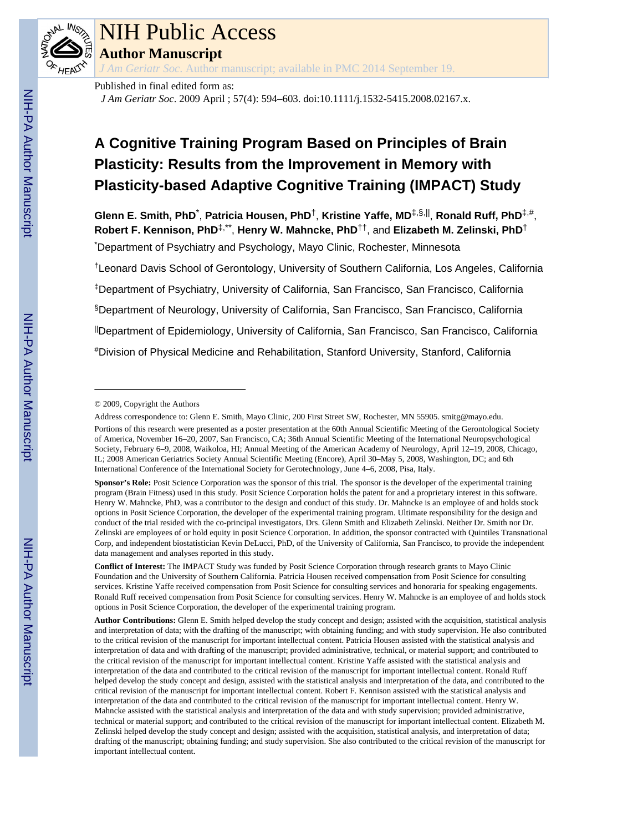

## NIH Public Access

**Author Manuscript**

*J Am Geriatr Soc*. Author manuscript; available in PMC 2014 September 19.

Published in final edited form as: *J Am Geriatr Soc*. 2009 April ; 57(4): 594–603. doi:10.1111/j.1532-5415.2008.02167.x.

### **A Cognitive Training Program Based on Principles of Brain Plasticity: Results from the Improvement in Memory with Plasticity-based Adaptive Cognitive Training (IMPACT) Study**

**Glenn E. Smith, PhD**\* , **Patricia Housen, PhD**†, **Kristine Yaffe, MD**‡,§,|| , **Ronald Ruff, PhD**‡,#, **Robert F. Kennison, PhD**‡,\*\* , **Henry W. Mahncke, PhD**††, and **Elizabeth M. Zelinski, PhD**† \*Department of Psychiatry and Psychology, Mayo Clinic, Rochester, Minnesota

†Leonard Davis School of Gerontology, University of Southern California, Los Angeles, California ‡Department of Psychiatry, University of California, San Francisco, San Francisco, California §Department of Neurology, University of California, San Francisco, San Francisco, California ||Department of Epidemiology, University of California, San Francisco, San Francisco, California #Division of Physical Medicine and Rehabilitation, Stanford University, Stanford, California

<sup>© 2009,</sup> Copyright the Authors

Address correspondence to: Glenn E. Smith, Mayo Clinic, 200 First Street SW, Rochester, MN 55905. smitg@mayo.edu.

Portions of this research were presented as a poster presentation at the 60th Annual Scientific Meeting of the Gerontological Society of America, November 16–20, 2007, San Francisco, CA; 36th Annual Scientific Meeting of the International Neuropsychological Society, February 6–9, 2008, Waikoloa, HI; Annual Meeting of the American Academy of Neurology, April 12–19, 2008, Chicago, IL; 2008 American Geriatrics Society Annual Scientific Meeting (Encore), April 30–May 5, 2008, Washington, DC; and 6th International Conference of the International Society for Gerotechnology, June 4–6, 2008, Pisa, Italy.

**Sponsor's Role:** Posit Science Corporation was the sponsor of this trial. The sponsor is the developer of the experimental training program (Brain Fitness) used in this study. Posit Science Corporation holds the patent for and a proprietary interest in this software. Henry W. Mahncke, PhD, was a contributor to the design and conduct of this study. Dr. Mahncke is an employee of and holds stock options in Posit Science Corporation, the developer of the experimental training program. Ultimate responsibility for the design and conduct of the trial resided with the co-principal investigators, Drs. Glenn Smith and Elizabeth Zelinski. Neither Dr. Smith nor Dr. Zelinski are employees of or hold equity in posit Science Corporation. In addition, the sponsor contracted with Quintiles Transnational Corp, and independent biostatistician Kevin DeLucci, PhD, of the University of California, San Francisco, to provide the independent data management and analyses reported in this study.

**Conflict of Interest:** The IMPACT Study was funded by Posit Science Corporation through research grants to Mayo Clinic Foundation and the University of Southern California. Patricia Housen received compensation from Posit Science for consulting services. Kristine Yaffe received compensation from Posit Science for consulting services and honoraria for speaking engagements. Ronald Ruff received compensation from Posit Science for consulting services. Henry W. Mahncke is an employee of and holds stock options in Posit Science Corporation, the developer of the experimental training program.

**Author Contributions:** Glenn E. Smith helped develop the study concept and design; assisted with the acquisition, statistical analysis and interpretation of data; with the drafting of the manuscript; with obtaining funding; and with study supervision. He also contributed to the critical revision of the manuscript for important intellectual content. Patricia Housen assisted with the statistical analysis and interpretation of data and with drafting of the manuscript; provided administrative, technical, or material support; and contributed to the critical revision of the manuscript for important intellectual content. Kristine Yaffe assisted with the statistical analysis and interpretation of the data and contributed to the critical revision of the manuscript for important intellectual content. Ronald Ruff helped develop the study concept and design, assisted with the statistical analysis and interpretation of the data, and contributed to the critical revision of the manuscript for important intellectual content. Robert F. Kennison assisted with the statistical analysis and interpretation of the data and contributed to the critical revision of the manuscript for important intellectual content. Henry W. Mahncke assisted with the statistical analysis and interpretation of the data and with study supervision; provided administrative, technical or material support; and contributed to the critical revision of the manuscript for important intellectual content. Elizabeth M. Zelinski helped develop the study concept and design; assisted with the acquisition, statistical analysis, and interpretation of data; drafting of the manuscript; obtaining funding; and study supervision. She also contributed to the critical revision of the manuscript for important intellectual content.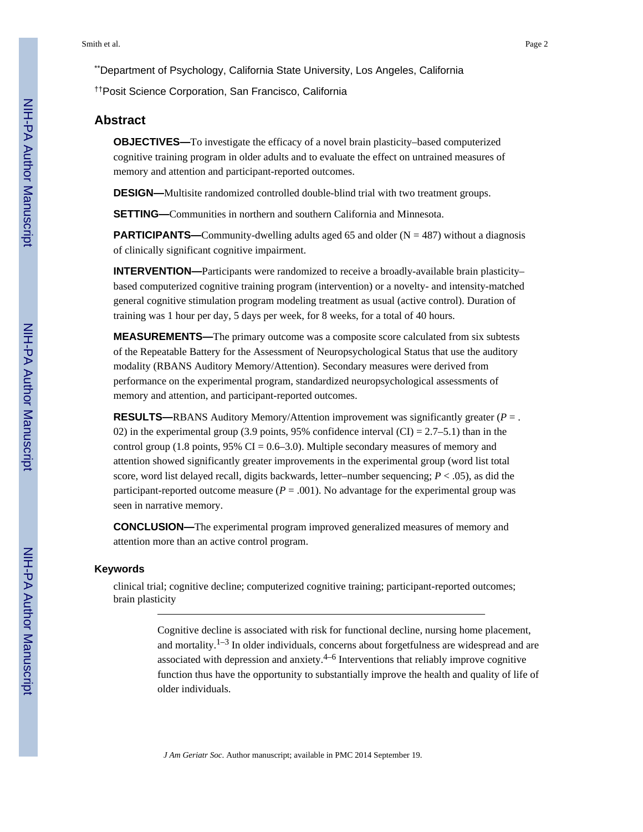\*\*Department of Psychology, California State University, Los Angeles, California

††Posit Science Corporation, San Francisco, California

#### **Abstract**

**OBJECTIVES—**To investigate the efficacy of a novel brain plasticity–based computerized cognitive training program in older adults and to evaluate the effect on untrained measures of memory and attention and participant-reported outcomes.

**DESIGN—**Multisite randomized controlled double-blind trial with two treatment groups.

**SETTING—**Communities in northern and southern California and Minnesota.

**PARTICIPANTS—**Community-dwelling adults aged 65 and older  $(N = 487)$  without a diagnosis of clinically significant cognitive impairment.

**INTERVENTION—**Participants were randomized to receive a broadly-available brain plasticity– based computerized cognitive training program (intervention) or a novelty- and intensity-matched general cognitive stimulation program modeling treatment as usual (active control). Duration of training was 1 hour per day, 5 days per week, for 8 weeks, for a total of 40 hours.

**MEASUREMENTS—**The primary outcome was a composite score calculated from six subtests of the Repeatable Battery for the Assessment of Neuropsychological Status that use the auditory modality (RBANS Auditory Memory/Attention). Secondary measures were derived from performance on the experimental program, standardized neuropsychological assessments of memory and attention, and participant-reported outcomes.

**RESULTS—**RBANS Auditory Memory/Attention improvement was significantly greater (*P* = . 02) in the experimental group (3.9 points, 95% confidence interval (CI) =  $2.7-5.1$ ) than in the control group (1.8 points,  $95\%$  CI = 0.6–3.0). Multiple secondary measures of memory and attention showed significantly greater improvements in the experimental group (word list total score, word list delayed recall, digits backwards, letter–number sequencing;  $P < .05$ ), as did the participant-reported outcome measure  $(P = .001)$ . No advantage for the experimental group was seen in narrative memory.

**CONCLUSION—**The experimental program improved generalized measures of memory and attention more than an active control program.

#### **Keywords**

clinical trial; cognitive decline; computerized cognitive training; participant-reported outcomes; brain plasticity

> Cognitive decline is associated with risk for functional decline, nursing home placement, and mortality.<sup> $1-3$ </sup> In older individuals, concerns about forgetfulness are widespread and are associated with depression and anxiety. $4-6$  Interventions that reliably improve cognitive function thus have the opportunity to substantially improve the health and quality of life of older individuals.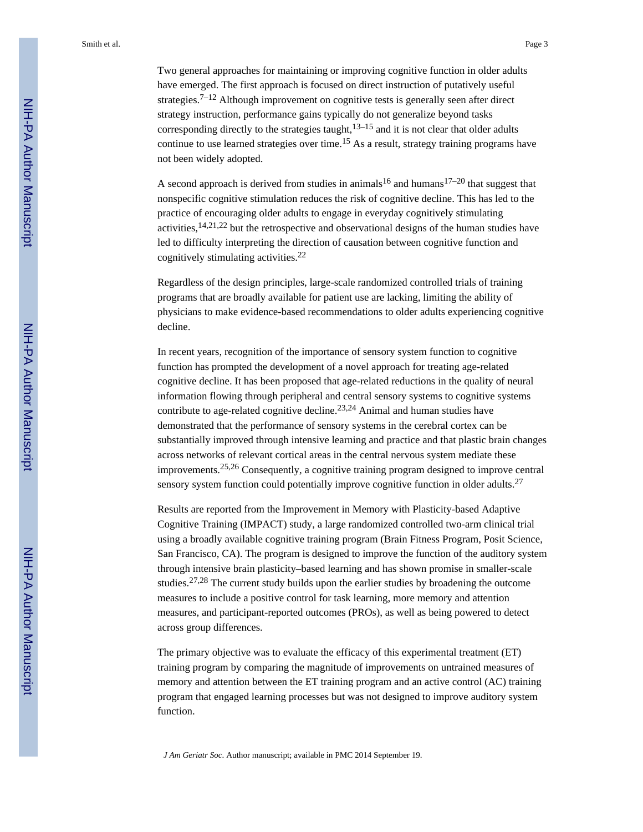Two general approaches for maintaining or improving cognitive function in older adults have emerged. The first approach is focused on direct instruction of putatively useful strategies.<sup>7–12</sup> Although improvement on cognitive tests is generally seen after direct strategy instruction, performance gains typically do not generalize beyond tasks corresponding directly to the strategies taught,  $13-15$  and it is not clear that older adults continue to use learned strategies over time.<sup>15</sup> As a result, strategy training programs have not been widely adopted.

A second approach is derived from studies in animals<sup>16</sup> and humans<sup>17–20</sup> that suggest that nonspecific cognitive stimulation reduces the risk of cognitive decline. This has led to the practice of encouraging older adults to engage in everyday cognitively stimulating activities,  $14,21,22$  but the retrospective and observational designs of the human studies have led to difficulty interpreting the direction of causation between cognitive function and cognitively stimulating activities.<sup>22</sup>

Regardless of the design principles, large-scale randomized controlled trials of training programs that are broadly available for patient use are lacking, limiting the ability of physicians to make evidence-based recommendations to older adults experiencing cognitive decline.

In recent years, recognition of the importance of sensory system function to cognitive function has prompted the development of a novel approach for treating age-related cognitive decline. It has been proposed that age-related reductions in the quality of neural information flowing through peripheral and central sensory systems to cognitive systems contribute to age-related cognitive decline.<sup>23,24</sup> Animal and human studies have demonstrated that the performance of sensory systems in the cerebral cortex can be substantially improved through intensive learning and practice and that plastic brain changes across networks of relevant cortical areas in the central nervous system mediate these improvements.25,26 Consequently, a cognitive training program designed to improve central sensory system function could potentially improve cognitive function in older adults. $27$ 

Results are reported from the Improvement in Memory with Plasticity-based Adaptive Cognitive Training (IMPACT) study, a large randomized controlled two-arm clinical trial using a broadly available cognitive training program (Brain Fitness Program, Posit Science, San Francisco, CA). The program is designed to improve the function of the auditory system through intensive brain plasticity–based learning and has shown promise in smaller-scale studies.<sup>27,28</sup> The current study builds upon the earlier studies by broadening the outcome measures to include a positive control for task learning, more memory and attention measures, and participant-reported outcomes (PROs), as well as being powered to detect across group differences.

The primary objective was to evaluate the efficacy of this experimental treatment (ET) training program by comparing the magnitude of improvements on untrained measures of memory and attention between the ET training program and an active control (AC) training program that engaged learning processes but was not designed to improve auditory system function.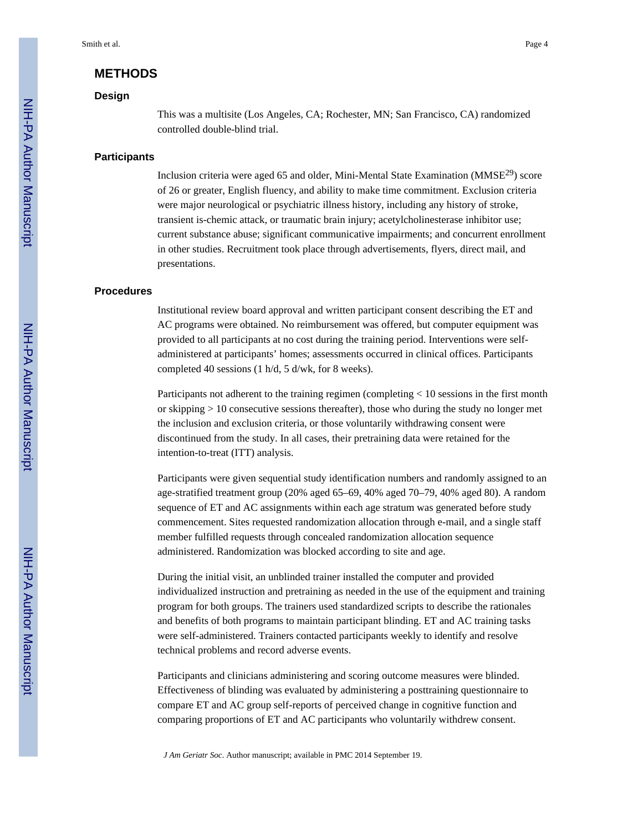#### **METHODS**

#### **Design**

This was a multisite (Los Angeles, CA; Rochester, MN; San Francisco, CA) randomized controlled double-blind trial.

#### **Participants**

Inclusion criteria were aged 65 and older, Mini-Mental State Examination ( $MMSE<sup>29</sup>$ ) score of 26 or greater, English fluency, and ability to make time commitment. Exclusion criteria were major neurological or psychiatric illness history, including any history of stroke, transient is-chemic attack, or traumatic brain injury; acetylcholinesterase inhibitor use; current substance abuse; significant communicative impairments; and concurrent enrollment in other studies. Recruitment took place through advertisements, flyers, direct mail, and presentations.

#### **Procedures**

Institutional review board approval and written participant consent describing the ET and AC programs were obtained. No reimbursement was offered, but computer equipment was provided to all participants at no cost during the training period. Interventions were selfadministered at participants' homes; assessments occurred in clinical offices. Participants completed 40 sessions (1 h/d, 5 d/wk, for 8 weeks).

Participants not adherent to the training regimen (completing < 10 sessions in the first month or skipping > 10 consecutive sessions thereafter), those who during the study no longer met the inclusion and exclusion criteria, or those voluntarily withdrawing consent were discontinued from the study. In all cases, their pretraining data were retained for the intention-to-treat (ITT) analysis.

Participants were given sequential study identification numbers and randomly assigned to an age-stratified treatment group (20% aged 65–69, 40% aged 70–79, 40% aged 80). A random sequence of ET and AC assignments within each age stratum was generated before study commencement. Sites requested randomization allocation through e-mail, and a single staff member fulfilled requests through concealed randomization allocation sequence administered. Randomization was blocked according to site and age.

During the initial visit, an unblinded trainer installed the computer and provided individualized instruction and pretraining as needed in the use of the equipment and training program for both groups. The trainers used standardized scripts to describe the rationales and benefits of both programs to maintain participant blinding. ET and AC training tasks were self-administered. Trainers contacted participants weekly to identify and resolve technical problems and record adverse events.

Participants and clinicians administering and scoring outcome measures were blinded. Effectiveness of blinding was evaluated by administering a posttraining questionnaire to compare ET and AC group self-reports of perceived change in cognitive function and comparing proportions of ET and AC participants who voluntarily withdrew consent.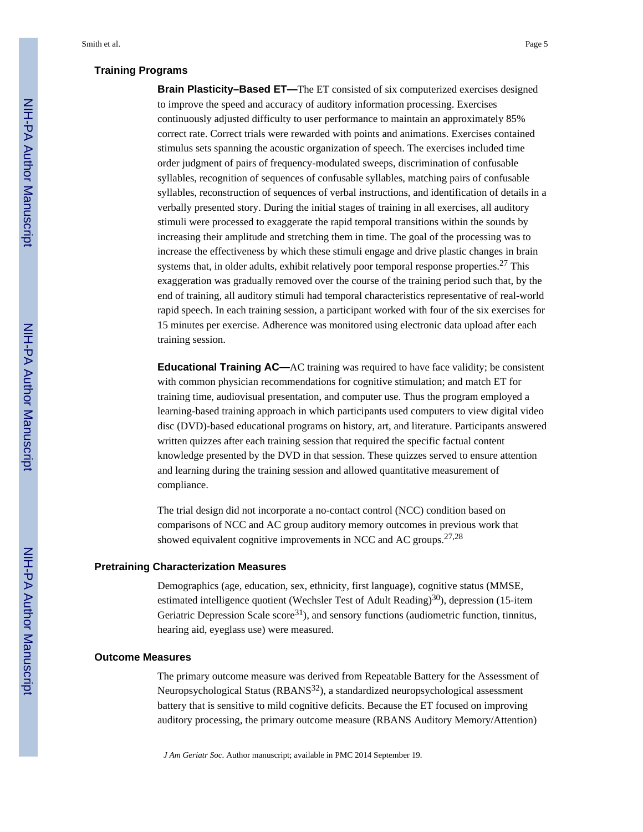#### **Training Programs**

**Brain Plasticity–Based ET—**The ET consisted of six computerized exercises designed to improve the speed and accuracy of auditory information processing. Exercises continuously adjusted difficulty to user performance to maintain an approximately 85% correct rate. Correct trials were rewarded with points and animations. Exercises contained stimulus sets spanning the acoustic organization of speech. The exercises included time order judgment of pairs of frequency-modulated sweeps, discrimination of confusable syllables, recognition of sequences of confusable syllables, matching pairs of confusable syllables, reconstruction of sequences of verbal instructions, and identification of details in a verbally presented story. During the initial stages of training in all exercises, all auditory stimuli were processed to exaggerate the rapid temporal transitions within the sounds by increasing their amplitude and stretching them in time. The goal of the processing was to increase the effectiveness by which these stimuli engage and drive plastic changes in brain systems that, in older adults, exhibit relatively poor temporal response properties.<sup>27</sup> This exaggeration was gradually removed over the course of the training period such that, by the end of training, all auditory stimuli had temporal characteristics representative of real-world rapid speech. In each training session, a participant worked with four of the six exercises for 15 minutes per exercise. Adherence was monitored using electronic data upload after each training session.

**Educational Training AC—AC** training was required to have face validity; be consistent with common physician recommendations for cognitive stimulation; and match ET for training time, audiovisual presentation, and computer use. Thus the program employed a learning-based training approach in which participants used computers to view digital video disc (DVD)-based educational programs on history, art, and literature. Participants answered written quizzes after each training session that required the specific factual content knowledge presented by the DVD in that session. These quizzes served to ensure attention and learning during the training session and allowed quantitative measurement of compliance.

The trial design did not incorporate a no-contact control (NCC) condition based on comparisons of NCC and AC group auditory memory outcomes in previous work that showed equivalent cognitive improvements in NCC and AC groups.  $27,28$ 

#### **Pretraining Characterization Measures**

Demographics (age, education, sex, ethnicity, first language), cognitive status (MMSE, estimated intelligence quotient (Wechsler Test of Adult Reading)<sup>30</sup>), depression (15-item Geriatric Depression Scale score<sup>31</sup>), and sensory functions (audiometric function, tinnitus, hearing aid, eyeglass use) were measured.

#### **Outcome Measures**

The primary outcome measure was derived from Repeatable Battery for the Assessment of Neuropsychological Status ( $RBANS<sup>32</sup>$ ), a standardized neuropsychological assessment battery that is sensitive to mild cognitive deficits. Because the ET focused on improving auditory processing, the primary outcome measure (RBANS Auditory Memory/Attention)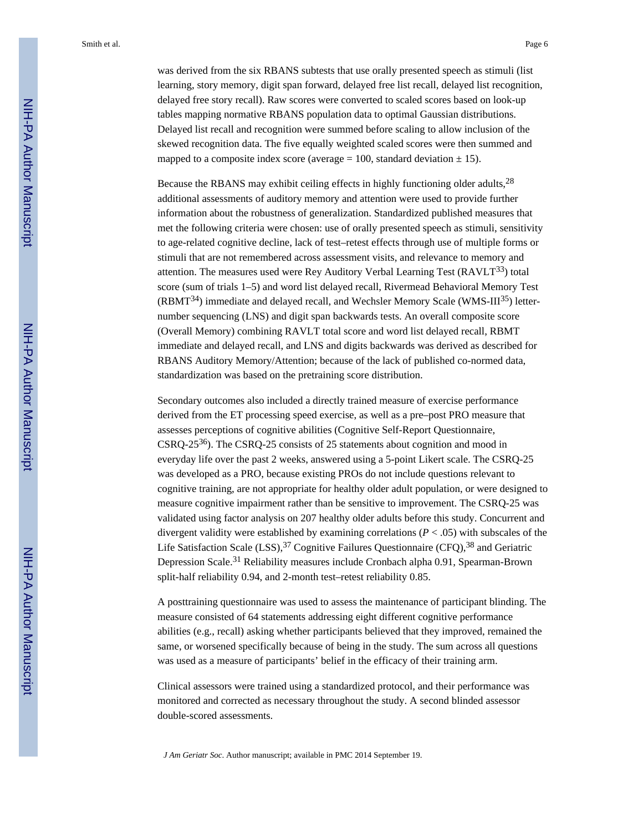was derived from the six RBANS subtests that use orally presented speech as stimuli (list learning, story memory, digit span forward, delayed free list recall, delayed list recognition, delayed free story recall). Raw scores were converted to scaled scores based on look-up tables mapping normative RBANS population data to optimal Gaussian distributions. Delayed list recall and recognition were summed before scaling to allow inclusion of the skewed recognition data. The five equally weighted scaled scores were then summed and mapped to a composite index score (average  $= 100$ , standard deviation  $\pm 15$ ).

Because the RBANS may exhibit ceiling effects in highly functioning older adults, <sup>28</sup> additional assessments of auditory memory and attention were used to provide further information about the robustness of generalization. Standardized published measures that met the following criteria were chosen: use of orally presented speech as stimuli, sensitivity to age-related cognitive decline, lack of test–retest effects through use of multiple forms or stimuli that are not remembered across assessment visits, and relevance to memory and attention. The measures used were Rey Auditory Verbal Learning Test (RAVLT<sup>33</sup>) total score (sum of trials 1–5) and word list delayed recall, Rivermead Behavioral Memory Test  $(RBMT<sup>34</sup>)$  immediate and delayed recall, and Wechsler Memory Scale (WMS-III<sup>35</sup>) letternumber sequencing (LNS) and digit span backwards tests. An overall composite score (Overall Memory) combining RAVLT total score and word list delayed recall, RBMT immediate and delayed recall, and LNS and digits backwards was derived as described for RBANS Auditory Memory/Attention; because of the lack of published co-normed data, standardization was based on the pretraining score distribution.

Secondary outcomes also included a directly trained measure of exercise performance derived from the ET processing speed exercise, as well as a pre–post PRO measure that assesses perceptions of cognitive abilities (Cognitive Self-Report Questionnaire,  $CSRQ-25^{36}$ ). The CSRQ-25 consists of 25 statements about cognition and mood in everyday life over the past 2 weeks, answered using a 5-point Likert scale. The CSRQ-25 was developed as a PRO, because existing PROs do not include questions relevant to cognitive training, are not appropriate for healthy older adult population, or were designed to measure cognitive impairment rather than be sensitive to improvement. The CSRQ-25 was validated using factor analysis on 207 healthy older adults before this study. Concurrent and divergent validity were established by examining correlations  $(P < .05)$  with subscales of the Life Satisfaction Scale  $(LSS)$ ,  $37$  Cognitive Failures Questionnaire (CFQ),  $38$  and Geriatric Depression Scale.31 Reliability measures include Cronbach alpha 0.91, Spearman-Brown split-half reliability 0.94, and 2-month test–retest reliability 0.85.

A posttraining questionnaire was used to assess the maintenance of participant blinding. The measure consisted of 64 statements addressing eight different cognitive performance abilities (e.g., recall) asking whether participants believed that they improved, remained the same, or worsened specifically because of being in the study. The sum across all questions was used as a measure of participants' belief in the efficacy of their training arm.

Clinical assessors were trained using a standardized protocol, and their performance was monitored and corrected as necessary throughout the study. A second blinded assessor double-scored assessments.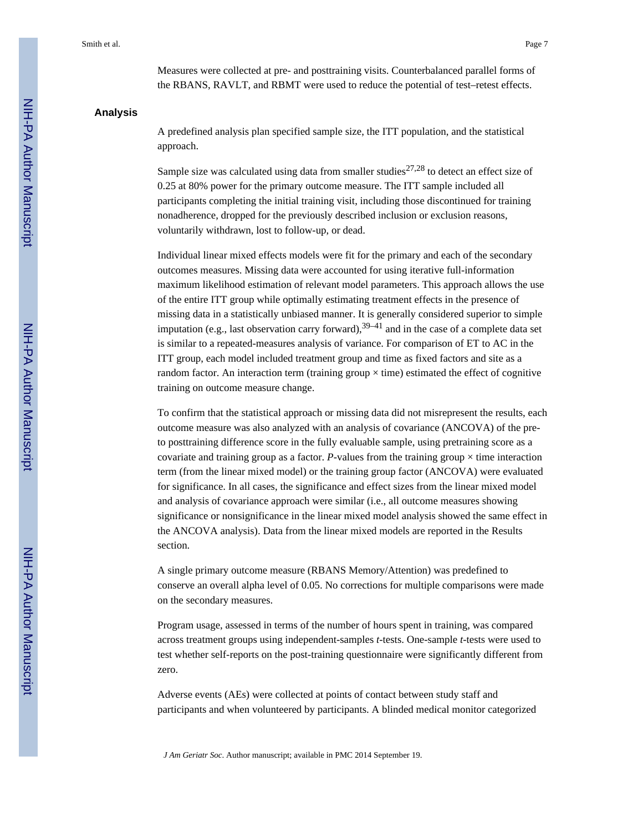Measures were collected at pre- and posttraining visits. Counterbalanced parallel forms of the RBANS, RAVLT, and RBMT were used to reduce the potential of test–retest effects.

#### **Analysis**

A predefined analysis plan specified sample size, the ITT population, and the statistical approach.

Sample size was calculated using data from smaller studies<sup>27,28</sup> to detect an effect size of 0.25 at 80% power for the primary outcome measure. The ITT sample included all participants completing the initial training visit, including those discontinued for training nonadherence, dropped for the previously described inclusion or exclusion reasons, voluntarily withdrawn, lost to follow-up, or dead.

Individual linear mixed effects models were fit for the primary and each of the secondary outcomes measures. Missing data were accounted for using iterative full-information maximum likelihood estimation of relevant model parameters. This approach allows the use of the entire ITT group while optimally estimating treatment effects in the presence of missing data in a statistically unbiased manner. It is generally considered superior to simple imputation (e.g., last observation carry forward),  $39-41$  and in the case of a complete data set is similar to a repeated-measures analysis of variance. For comparison of ET to AC in the ITT group, each model included treatment group and time as fixed factors and site as a random factor. An interaction term (training group  $\times$  time) estimated the effect of cognitive training on outcome measure change.

To confirm that the statistical approach or missing data did not misrepresent the results, each outcome measure was also analyzed with an analysis of covariance (ANCOVA) of the preto posttraining difference score in the fully evaluable sample, using pretraining score as a covariate and training group as a factor.  $P$ -values from the training group  $\times$  time interaction term (from the linear mixed model) or the training group factor (ANCOVA) were evaluated for significance. In all cases, the significance and effect sizes from the linear mixed model and analysis of covariance approach were similar (i.e., all outcome measures showing significance or nonsignificance in the linear mixed model analysis showed the same effect in the ANCOVA analysis). Data from the linear mixed models are reported in the Results section.

A single primary outcome measure (RBANS Memory/Attention) was predefined to conserve an overall alpha level of 0.05. No corrections for multiple comparisons were made on the secondary measures.

Program usage, assessed in terms of the number of hours spent in training, was compared across treatment groups using independent-samples *t*-tests. One-sample *t*-tests were used to test whether self-reports on the post-training questionnaire were significantly different from zero.

Adverse events (AEs) were collected at points of contact between study staff and participants and when volunteered by participants. A blinded medical monitor categorized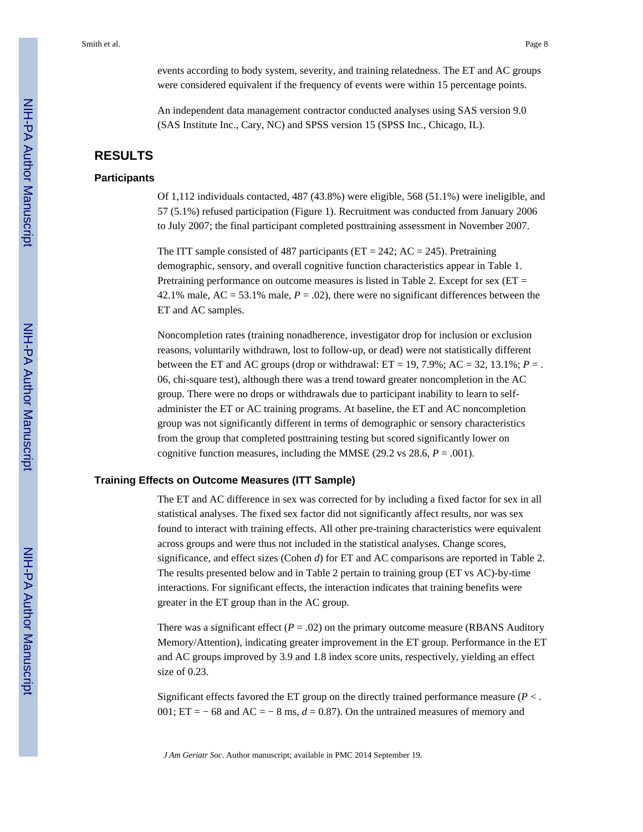events according to body system, severity, and training relatedness. The ET and AC groups were considered equivalent if the frequency of events were within 15 percentage points.

An independent data management contractor conducted analyses using SAS version 9.0 (SAS Institute Inc., Cary, NC) and SPSS version 15 (SPSS Inc., Chicago, IL).

#### **RESULTS**

#### **Participants**

Of 1,112 individuals contacted, 487 (43.8%) were eligible, 568 (51.1%) were ineligible, and 57 (5.1%) refused participation (Figure 1). Recruitment was conducted from January 2006 to July 2007; the final participant completed posttraining assessment in November 2007.

The ITT sample consisted of 487 participants ( $ET = 242$ ;  $AC = 245$ ). Pretraining demographic, sensory, and overall cognitive function characteristics appear in Table 1. Pretraining performance on outcome measures is listed in Table 2. Except for sex (ET = 42.1% male,  $AC = 53.1\%$  male,  $P = .02$ ), there were no significant differences between the ET and AC samples.

Noncompletion rates (training nonadherence, investigator drop for inclusion or exclusion reasons, voluntarily withdrawn, lost to follow-up, or dead) were not statistically different between the ET and AC groups (drop or withdrawal:  $ET = 19, 7.9\%$ ;  $AC = 32, 13.1\%$ ;  $P =$ . 06, chi-square test), although there was a trend toward greater noncompletion in the AC group. There were no drops or withdrawals due to participant inability to learn to selfadminister the ET or AC training programs. At baseline, the ET and AC noncompletion group was not significantly different in terms of demographic or sensory characteristics from the group that completed posttraining testing but scored significantly lower on cognitive function measures, including the MMSE (29.2 vs 28.6,  $P = .001$ ).

#### **Training Effects on Outcome Measures (ITT Sample)**

The ET and AC difference in sex was corrected for by including a fixed factor for sex in all statistical analyses. The fixed sex factor did not significantly affect results, nor was sex found to interact with training effects. All other pre-training characteristics were equivalent across groups and were thus not included in the statistical analyses. Change scores, significance, and effect sizes (Cohen *d*) for ET and AC comparisons are reported in Table 2. The results presented below and in Table 2 pertain to training group (ET vs AC)-by-time interactions. For significant effects, the interaction indicates that training benefits were greater in the ET group than in the AC group.

There was a significant effect  $(P = .02)$  on the primary outcome measure (RBANS Auditory Memory/Attention), indicating greater improvement in the ET group. Performance in the ET and AC groups improved by 3.9 and 1.8 index score units, respectively, yielding an effect size of 0.23.

Significant effects favored the ET group on the directly trained performance measure ( $P <$ . 001; ET =  $-68$  and AC =  $-8$  ms,  $d = 0.87$ ). On the untrained measures of memory and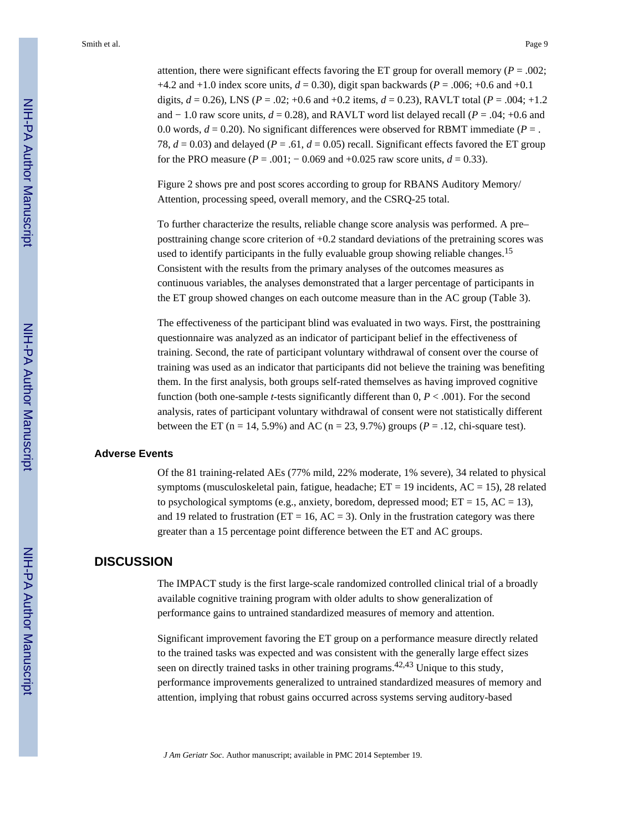attention, there were significant effects favoring the ET group for overall memory ( $P = .002$ ; +4.2 and +1.0 index score units,  $d = 0.30$ ), digit span backwards ( $P = .006$ ; +0.6 and +0.1 digits,  $d = 0.26$ ), LNS ( $P = .02$ ; +0.6 and +0.2 items,  $d = 0.23$ ), RAVLT total ( $P = .004$ ; +1.2 and  $-1.0$  raw score units,  $d = 0.28$ ), and RAVLT word list delayed recall ( $P = .04$ ; +0.6 and 0.0 words,  $d = 0.20$ ). No significant differences were observed for RBMT immediate ( $P =$ . 78,  $d = 0.03$ ) and delayed ( $P = .61$ ,  $d = 0.05$ ) recall. Significant effects favored the ET group for the PRO measure ( $P = .001$ ;  $- 0.069$  and  $+ 0.025$  raw score units,  $d = 0.33$ ).

Figure 2 shows pre and post scores according to group for RBANS Auditory Memory/ Attention, processing speed, overall memory, and the CSRQ-25 total.

To further characterize the results, reliable change score analysis was performed. A pre– posttraining change score criterion of +0.2 standard deviations of the pretraining scores was used to identify participants in the fully evaluable group showing reliable changes.<sup>15</sup> Consistent with the results from the primary analyses of the outcomes measures as continuous variables, the analyses demonstrated that a larger percentage of participants in the ET group showed changes on each outcome measure than in the AC group (Table 3).

The effectiveness of the participant blind was evaluated in two ways. First, the posttraining questionnaire was analyzed as an indicator of participant belief in the effectiveness of training. Second, the rate of participant voluntary withdrawal of consent over the course of training was used as an indicator that participants did not believe the training was benefiting them. In the first analysis, both groups self-rated themselves as having improved cognitive function (both one-sample *t*-tests significantly different than 0, *P* < .001). For the second analysis, rates of participant voluntary withdrawal of consent were not statistically different between the ET ( $n = 14, 5.9\%$ ) and AC ( $n = 23, 9.7\%$ ) groups ( $P = .12$ , chi-square test).

#### **Adverse Events**

Of the 81 training-related AEs (77% mild, 22% moderate, 1% severe), 34 related to physical symptoms (musculoskeletal pain, fatigue, headache;  $ET = 19$  incidents,  $AC = 15$ ), 28 related to psychological symptoms (e.g., anxiety, boredom, depressed mood;  $ET = 15$ ,  $AC = 13$ ), and 19 related to frustration ( $ET = 16$ ,  $AC = 3$ ). Only in the frustration category was there greater than a 15 percentage point difference between the ET and AC groups.

#### **DISCUSSION**

The IMPACT study is the first large-scale randomized controlled clinical trial of a broadly available cognitive training program with older adults to show generalization of performance gains to untrained standardized measures of memory and attention.

Significant improvement favoring the ET group on a performance measure directly related to the trained tasks was expected and was consistent with the generally large effect sizes seen on directly trained tasks in other training programs.<sup>42,43</sup> Unique to this study, performance improvements generalized to untrained standardized measures of memory and attention, implying that robust gains occurred across systems serving auditory-based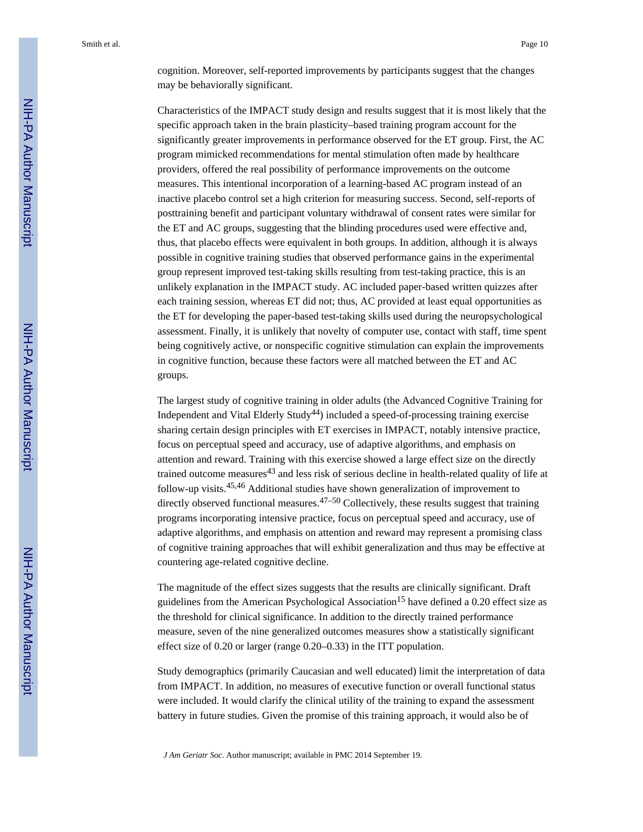cognition. Moreover, self-reported improvements by participants suggest that the changes may be behaviorally significant.

Characteristics of the IMPACT study design and results suggest that it is most likely that the specific approach taken in the brain plasticity–based training program account for the significantly greater improvements in performance observed for the ET group. First, the AC program mimicked recommendations for mental stimulation often made by healthcare providers, offered the real possibility of performance improvements on the outcome measures. This intentional incorporation of a learning-based AC program instead of an inactive placebo control set a high criterion for measuring success. Second, self-reports of posttraining benefit and participant voluntary withdrawal of consent rates were similar for the ET and AC groups, suggesting that the blinding procedures used were effective and, thus, that placebo effects were equivalent in both groups. In addition, although it is always possible in cognitive training studies that observed performance gains in the experimental group represent improved test-taking skills resulting from test-taking practice, this is an unlikely explanation in the IMPACT study. AC included paper-based written quizzes after each training session, whereas ET did not; thus, AC provided at least equal opportunities as the ET for developing the paper-based test-taking skills used during the neuropsychological assessment. Finally, it is unlikely that novelty of computer use, contact with staff, time spent being cognitively active, or nonspecific cognitive stimulation can explain the improvements in cognitive function, because these factors were all matched between the ET and AC groups.

The largest study of cognitive training in older adults (the Advanced Cognitive Training for Independent and Vital Elderly Study44) included a speed-of-processing training exercise sharing certain design principles with ET exercises in IMPACT, notably intensive practice, focus on perceptual speed and accuracy, use of adaptive algorithms, and emphasis on attention and reward. Training with this exercise showed a large effect size on the directly trained outcome measures $43$  and less risk of serious decline in health-related quality of life at follow-up visits.45,46 Additional studies have shown generalization of improvement to directly observed functional measures. $47-50$  Collectively, these results suggest that training programs incorporating intensive practice, focus on perceptual speed and accuracy, use of adaptive algorithms, and emphasis on attention and reward may represent a promising class of cognitive training approaches that will exhibit generalization and thus may be effective at countering age-related cognitive decline.

The magnitude of the effect sizes suggests that the results are clinically significant. Draft guidelines from the American Psychological Association<sup>15</sup> have defined a 0.20 effect size as the threshold for clinical significance. In addition to the directly trained performance measure, seven of the nine generalized outcomes measures show a statistically significant effect size of 0.20 or larger (range 0.20–0.33) in the ITT population.

Study demographics (primarily Caucasian and well educated) limit the interpretation of data from IMPACT. In addition, no measures of executive function or overall functional status were included. It would clarify the clinical utility of the training to expand the assessment battery in future studies. Given the promise of this training approach, it would also be of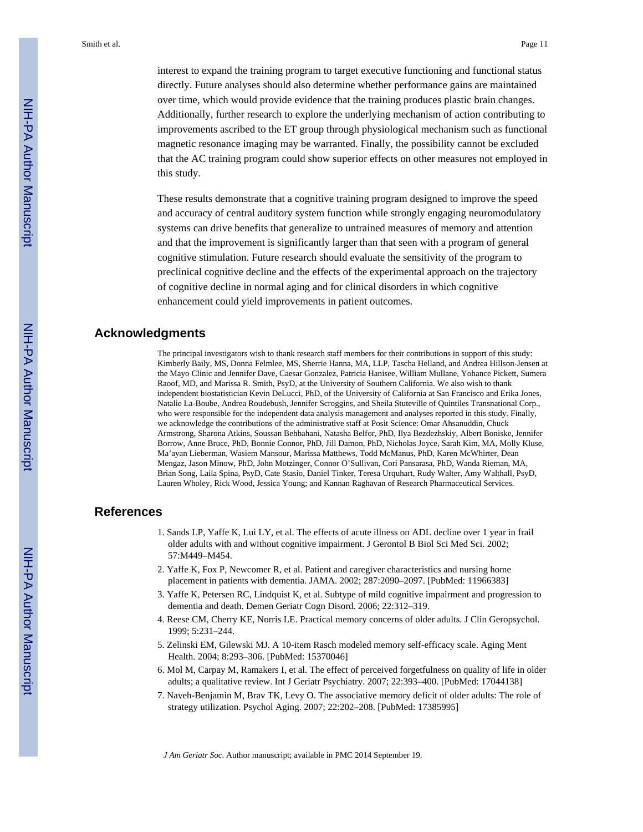interest to expand the training program to target executive functioning and functional status directly. Future analyses should also determine whether performance gains are maintained over time, which would provide evidence that the training produces plastic brain changes. Additionally, further research to explore the underlying mechanism of action contributing to improvements ascribed to the ET group through physiological mechanism such as functional magnetic resonance imaging may be warranted. Finally, the possibility cannot be excluded that the AC training program could show superior effects on other measures not employed in this study.

These results demonstrate that a cognitive training program designed to improve the speed and accuracy of central auditory system function while strongly engaging neuromodulatory systems can drive benefits that generalize to untrained measures of memory and attention and that the improvement is significantly larger than that seen with a program of general cognitive stimulation. Future research should evaluate the sensitivity of the program to preclinical cognitive decline and the effects of the experimental approach on the trajectory of cognitive decline in normal aging and for clinical disorders in which cognitive enhancement could yield improvements in patient outcomes.

#### **Acknowledgments**

The principal investigators wish to thank research staff members for their contributions in support of this study: Kimberly Baily, MS, Donna Felmlee, MS, Sherrie Hanna, MA, LLP, Tascha Helland, and Andrea Hillson-Jensen at the Mayo Clinic and Jennifer Dave, Caesar Gonzalez, Patricia Hanisee, William Mullane, Yohance Pickett, Sumera Raoof, MD, and Marissa R. Smith, PsyD, at the University of Southern California. We also wish to thank independent biostatistician Kevin DeLucci, PhD, of the University of California at San Francisco and Erika Jones, Natalie La-Boube, Andrea Roudebush, Jennifer Scroggins, and Sheila Stuteville of Quintiles Transnational Corp., who were responsible for the independent data analysis management and analyses reported in this study. Finally, we acknowledge the contributions of the administrative staff at Posit Science: Omar Ahsanuddin, Chuck Armstrong, Sharona Atkins, Soussan Behbahani, Natasha Belfor, PhD, Ilya Bezdezhskiy, Albert Boniske, Jennifer Borrow, Anne Bruce, PhD, Bonnie Connor, PhD, Jill Damon, PhD, Nicholas Joyce, Sarah Kim, MA, Molly Kluse, Ma'ayan Lieberman, Wasiem Mansour, Marissa Matthews, Todd McManus, PhD, Karen McWhirter, Dean Mengaz, Jason Minow, PhD, John Motzinger, Connor O'Sullivan, Cori Pansarasa, PhD, Wanda Rieman, MA, Brian Song, Laila Spina, PsyD, Cate Stasio, Daniel Tinker, Teresa Urquhart, Rudy Walter, Amy Walthall, PsyD, Lauren Wholey, Rick Wood, Jessica Young; and Kannan Raghavan of Research Pharmaceutical Services.

#### **References**

- 1. Sands LP, Yaffe K, Lui LY, et al. The effects of acute illness on ADL decline over 1 year in frail older adults with and without cognitive impairment. J Gerontol B Biol Sci Med Sci. 2002; 57:M449–M454.
- 2. Yaffe K, Fox P, Newcomer R, et al. Patient and caregiver characteristics and nursing home placement in patients with dementia. JAMA. 2002; 287:2090–2097. [PubMed: 11966383]
- 3. Yaffe K, Petersen RC, Lindquist K, et al. Subtype of mild cognitive impairment and progression to dementia and death. Demen Geriatr Cogn Disord. 2006; 22:312–319.
- 4. Reese CM, Cherry KE, Norris LE. Practical memory concerns of older adults. J Clin Geropsychol. 1999; 5:231–244.
- 5. Zelinski EM, Gilewski MJ. A 10-item Rasch modeled memory self-efficacy scale. Aging Ment Health. 2004; 8:293–306. [PubMed: 15370046]
- 6. Mol M, Carpay M, Ramakers I, et al. The effect of perceived forgetfulness on quality of life in older adults; a qualitative review. Int J Geriatr Psychiatry. 2007; 22:393–400. [PubMed: 17044138]
- 7. Naveh-Benjamin M, Brav TK, Levy O. The associative memory deficit of older adults: The role of strategy utilization. Psychol Aging. 2007; 22:202–208. [PubMed: 17385995]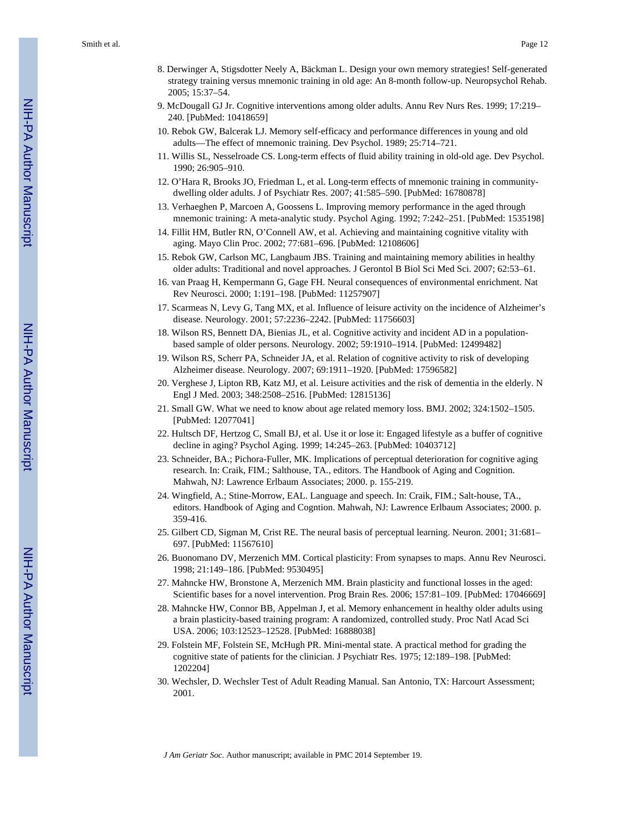- 8. Derwinger A, Stigsdotter Neely A, Bäckman L. Design your own memory strategies! Self-generated strategy training versus mnemonic training in old age: An 8-month follow-up. Neuropsychol Rehab. 2005; 15:37–54.
- 9. McDougall GJ Jr. Cognitive interventions among older adults. Annu Rev Nurs Res. 1999; 17:219– 240. [PubMed: 10418659]
- 10. Rebok GW, Balcerak LJ. Memory self-efficacy and performance differences in young and old adults—The effect of mnemonic training. Dev Psychol. 1989; 25:714–721.
- 11. Willis SL, Nesselroade CS. Long-term effects of fluid ability training in old-old age. Dev Psychol. 1990; 26:905–910.
- 12. O'Hara R, Brooks JO, Friedman L, et al. Long-term effects of mnemonic training in communitydwelling older adults. J of Psychiatr Res. 2007; 41:585–590. [PubMed: 16780878]
- 13. Verhaeghen P, Marcoen A, Goossens L. Improving memory performance in the aged through mnemonic training: A meta-analytic study. Psychol Aging. 1992; 7:242–251. [PubMed: 1535198]
- 14. Fillit HM, Butler RN, O'Connell AW, et al. Achieving and maintaining cognitive vitality with aging. Mayo Clin Proc. 2002; 77:681–696. [PubMed: 12108606]
- 15. Rebok GW, Carlson MC, Langbaum JBS. Training and maintaining memory abilities in healthy older adults: Traditional and novel approaches. J Gerontol B Biol Sci Med Sci. 2007; 62:53–61.
- 16. van Praag H, Kempermann G, Gage FH. Neural consequences of environmental enrichment. Nat Rev Neurosci. 2000; 1:191–198. [PubMed: 11257907]
- 17. Scarmeas N, Levy G, Tang MX, et al. Influence of leisure activity on the incidence of Alzheimer's disease. Neurology. 2001; 57:2236–2242. [PubMed: 11756603]
- 18. Wilson RS, Bennett DA, Bienias JL, et al. Cognitive activity and incident AD in a populationbased sample of older persons. Neurology. 2002; 59:1910–1914. [PubMed: 12499482]
- 19. Wilson RS, Scherr PA, Schneider JA, et al. Relation of cognitive activity to risk of developing Alzheimer disease. Neurology. 2007; 69:1911–1920. [PubMed: 17596582]
- 20. Verghese J, Lipton RB, Katz MJ, et al. Leisure activities and the risk of dementia in the elderly. N Engl J Med. 2003; 348:2508–2516. [PubMed: 12815136]
- 21. Small GW. What we need to know about age related memory loss. BMJ. 2002; 324:1502–1505. [PubMed: 12077041]
- 22. Hultsch DF, Hertzog C, Small BJ, et al. Use it or lose it: Engaged lifestyle as a buffer of cognitive decline in aging? Psychol Aging. 1999; 14:245–263. [PubMed: 10403712]
- 23. Schneider, BA.; Pichora-Fuller, MK. Implications of perceptual deterioration for cognitive aging research. In: Craik, FIM.; Salthouse, TA., editors. The Handbook of Aging and Cognition. Mahwah, NJ: Lawrence Erlbaum Associates; 2000. p. 155-219.
- 24. Wingfield, A.; Stine-Morrow, EAL. Language and speech. In: Craik, FIM.; Salt-house, TA., editors. Handbook of Aging and Cogntion. Mahwah, NJ: Lawrence Erlbaum Associates; 2000. p. 359-416.
- 25. Gilbert CD, Sigman M, Crist RE. The neural basis of perceptual learning. Neuron. 2001; 31:681– 697. [PubMed: 11567610]
- 26. Buonomano DV, Merzenich MM. Cortical plasticity: From synapses to maps. Annu Rev Neurosci. 1998; 21:149–186. [PubMed: 9530495]
- 27. Mahncke HW, Bronstone A, Merzenich MM. Brain plasticity and functional losses in the aged: Scientific bases for a novel intervention. Prog Brain Res. 2006; 157:81–109. [PubMed: 17046669]
- 28. Mahncke HW, Connor BB, Appelman J, et al. Memory enhancement in healthy older adults using a brain plasticity-based training program: A randomized, controlled study. Proc Natl Acad Sci USA. 2006; 103:12523–12528. [PubMed: 16888038]
- 29. Folstein MF, Folstein SE, McHugh PR. Mini-mental state. A practical method for grading the cognitive state of patients for the clinician. J Psychiatr Res. 1975; 12:189–198. [PubMed: 1202204]
- 30. Wechsler, D. Wechsler Test of Adult Reading Manual. San Antonio, TX: Harcourt Assessment; 2001.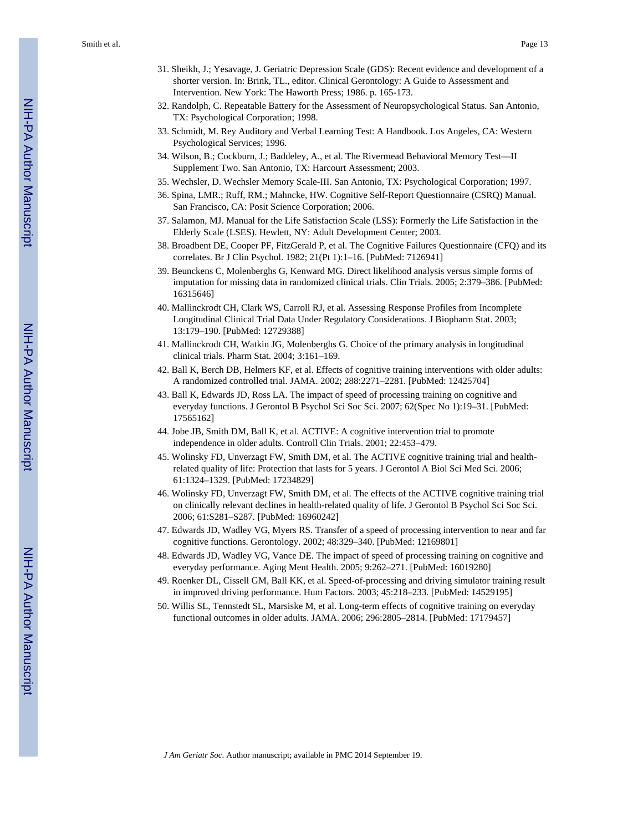- 31. Sheikh, J.; Yesavage, J. Geriatric Depression Scale (GDS): Recent evidence and development of a shorter version. In: Brink, TL., editor. Clinical Gerontology: A Guide to Assessment and Intervention. New York: The Haworth Press; 1986. p. 165-173.
- 32. Randolph, C. Repeatable Battery for the Assessment of Neuropsychological Status. San Antonio, TX: Psychological Corporation; 1998.
- 33. Schmidt, M. Rey Auditory and Verbal Learning Test: A Handbook. Los Angeles, CA: Western Psychological Services; 1996.
- 34. Wilson, B.; Cockburn, J.; Baddeley, A., et al. The Rivermead Behavioral Memory Test—II Supplement Two. San Antonio, TX: Harcourt Assessment; 2003.
- 35. Wechsler, D. Wechsler Memory Scale-III. San Antonio, TX: Psychological Corporation; 1997.
- 36. Spina, LMR.; Ruff, RM.; Mahncke, HW. Cognitive Self-Report Questionnaire (CSRQ) Manual. San Francisco, CA: Posit Science Corporation; 2006.
- 37. Salamon, MJ. Manual for the Life Satisfaction Scale (LSS): Formerly the Life Satisfaction in the Elderly Scale (LSES). Hewlett, NY: Adult Development Center; 2003.
- 38. Broadbent DE, Cooper PF, FitzGerald P, et al. The Cognitive Failures Questionnaire (CFQ) and its correlates. Br J Clin Psychol. 1982; 21(Pt 1):1–16. [PubMed: 7126941]
- 39. Beunckens C, Molenberghs G, Kenward MG. Direct likelihood analysis versus simple forms of imputation for missing data in randomized clinical trials. Clin Trials. 2005; 2:379–386. [PubMed: 16315646]
- 40. Mallinckrodt CH, Clark WS, Carroll RJ, et al. Assessing Response Profiles from Incomplete Longitudinal Clinical Trial Data Under Regulatory Considerations. J Biopharm Stat. 2003; 13:179–190. [PubMed: 12729388]
- 41. Mallinckrodt CH, Watkin JG, Molenberghs G. Choice of the primary analysis in longitudinal clinical trials. Pharm Stat. 2004; 3:161–169.
- 42. Ball K, Berch DB, Helmers KF, et al. Effects of cognitive training interventions with older adults: A randomized controlled trial. JAMA. 2002; 288:2271–2281. [PubMed: 12425704]
- 43. Ball K, Edwards JD, Ross LA. The impact of speed of processing training on cognitive and everyday functions. J Gerontol B Psychol Sci Soc Sci. 2007; 62(Spec No 1):19–31. [PubMed: 17565162]
- 44. Jobe JB, Smith DM, Ball K, et al. ACTIVE: A cognitive intervention trial to promote independence in older adults. Controll Clin Trials. 2001; 22:453–479.
- 45. Wolinsky FD, Unverzagt FW, Smith DM, et al. The ACTIVE cognitive training trial and healthrelated quality of life: Protection that lasts for 5 years. J Gerontol A Biol Sci Med Sci. 2006; 61:1324–1329. [PubMed: 17234829]
- 46. Wolinsky FD, Unverzagt FW, Smith DM, et al. The effects of the ACTIVE cognitive training trial on clinically relevant declines in health-related quality of life. J Gerontol B Psychol Sci Soc Sci. 2006; 61:S281–S287. [PubMed: 16960242]
- 47. Edwards JD, Wadley VG, Myers RS. Transfer of a speed of processing intervention to near and far cognitive functions. Gerontology. 2002; 48:329–340. [PubMed: 12169801]
- 48. Edwards JD, Wadley VG, Vance DE. The impact of speed of processing training on cognitive and everyday performance. Aging Ment Health. 2005; 9:262–271. [PubMed: 16019280]
- 49. Roenker DL, Cissell GM, Ball KK, et al. Speed-of-processing and driving simulator training result in improved driving performance. Hum Factors. 2003; 45:218–233. [PubMed: 14529195]
- 50. Willis SL, Tennstedt SL, Marsiske M, et al. Long-term effects of cognitive training on everyday functional outcomes in older adults. JAMA. 2006; 296:2805–2814. [PubMed: 17179457]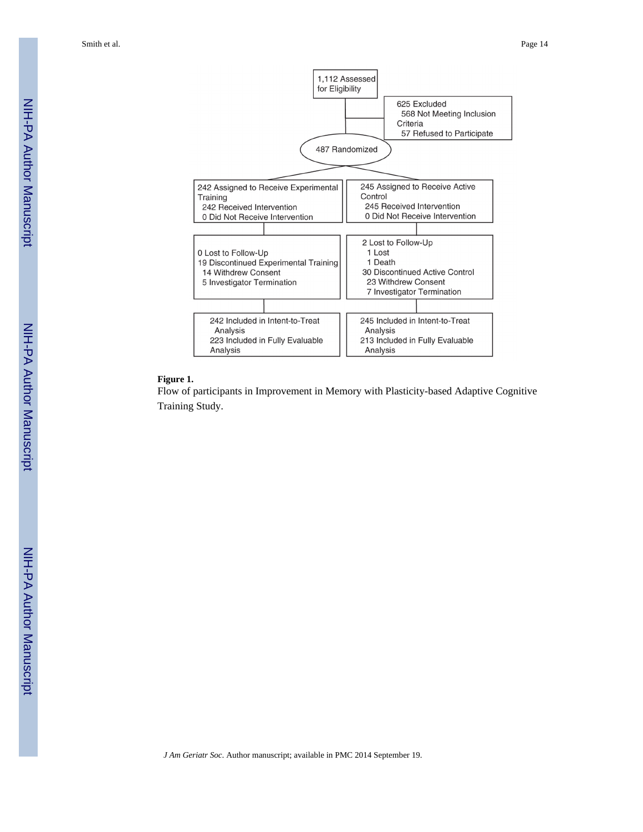



#### **Figure 1.**

Flow of participants in Improvement in Memory with Plasticity-based Adaptive Cognitive Training Study.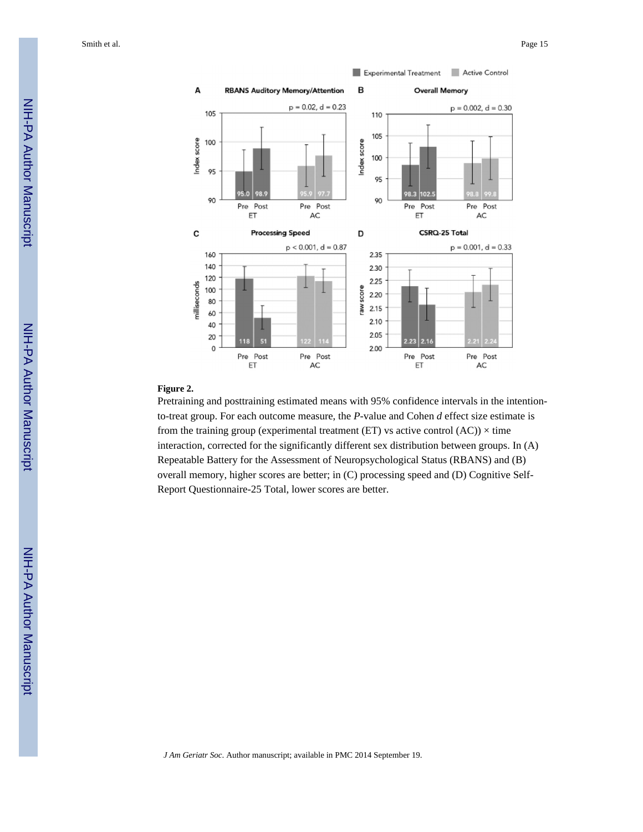

#### **Figure 2.**

Pretraining and posttraining estimated means with 95% confidence intervals in the intentionto-treat group. For each outcome measure, the *P*-value and Cohen *d* effect size estimate is from the training group (experimental treatment (ET) vs active control  $(AC)$ )  $\times$  time interaction, corrected for the significantly different sex distribution between groups. In (A) Repeatable Battery for the Assessment of Neuropsychological Status (RBANS) and (B) overall memory, higher scores are better; in (C) processing speed and (D) Cognitive Self-Report Questionnaire-25 Total, lower scores are better.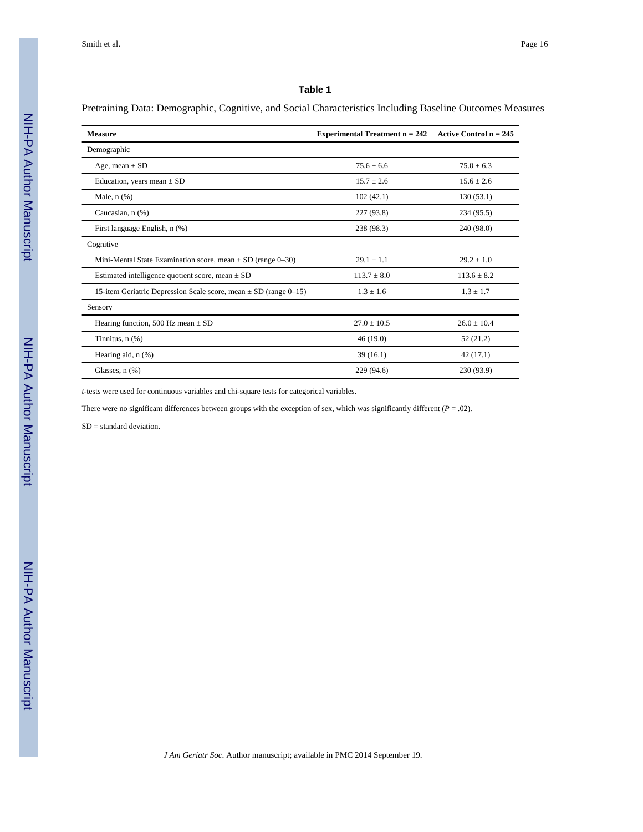#### **Table 1**

Pretraining Data: Demographic, Cognitive, and Social Characteristics Including Baseline Outcomes Measures

| <b>Measure</b>                                                       | Experimental Treatment $n = 242$ | Active Control $n = 245$ |
|----------------------------------------------------------------------|----------------------------------|--------------------------|
| Demographic                                                          |                                  |                          |
| Age, mean $\pm$ SD                                                   | $75.6 + 6.6$                     | $75.0 \pm 6.3$           |
| Education, years mean $\pm$ SD                                       | $15.7 \pm 2.6$                   | $15.6 \pm 2.6$           |
| Male, $n$ $(\%)$                                                     | 102(42.1)                        | 130(53.1)                |
| Caucasian, n (%)                                                     | 227 (93.8)                       | 234 (95.5)               |
| First language English, n (%)                                        | 238 (98.3)                       | 240 (98.0)               |
| Cognitive                                                            |                                  |                          |
| Mini-Mental State Examination score, mean $\pm$ SD (range 0–30)      | $29.1 + 1.1$                     | $29.2 \pm 1.0$           |
| Estimated intelligence quotient score, mean $\pm$ SD                 | $113.7 + 8.0$                    | $113.6 + 8.2$            |
| 15-item Geriatric Depression Scale score, mean $\pm$ SD (range 0–15) | $1.3 \pm 1.6$                    | $1.3 \pm 1.7$            |
| Sensory                                                              |                                  |                          |
| Hearing function, 500 Hz mean $\pm$ SD                               | $27.0 \pm 10.5$                  | $26.0 \pm 10.4$          |
| Tinnitus, $n$ $(\%)$                                                 | 46(19.0)                         | 52 (21.2)                |
| Hearing aid, $n$ $(\%)$                                              | 39(16.1)                         | 42 (17.1)                |
| Glasses, $n$ $(\%)$                                                  | 229 (94.6)                       | 230 (93.9)               |

*t-*tests were used for continuous variables and chi-square tests for categorical variables.

There were no significant differences between groups with the exception of sex, which was significantly different  $(P = .02)$ .

SD = standard deviation.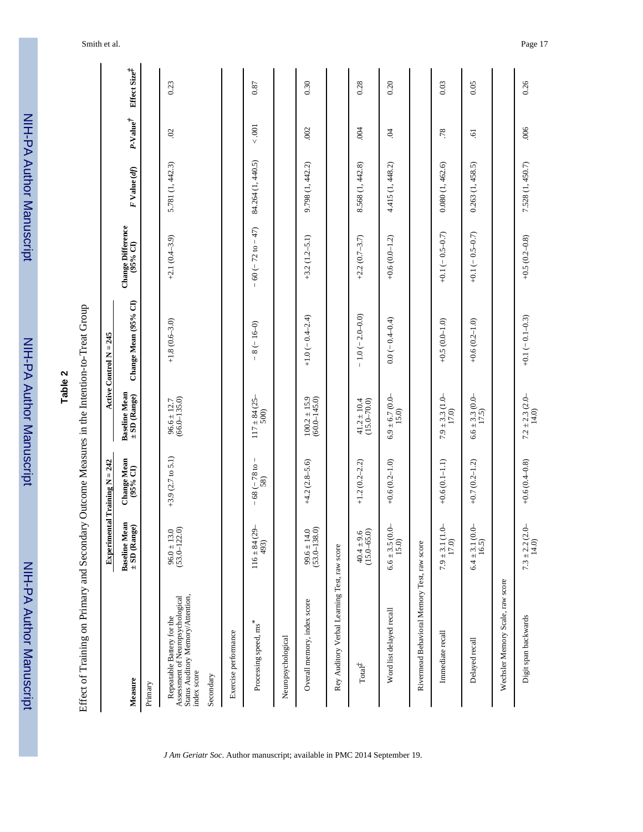NIH-PA Author Manuscript NIH-PA Author Manuscript

# **Table 2**

Effect of Training on Primary and Secondary Outcome Measures in the Intention-to-Treat Group Effect of Training on Primary and Secondary Outcome Measures in the Intention-to-Treat Group

|                                                                                                                                 |                                          | Experimental Training $N = 242$                     |                                          | Active Control $N = 245$     |                                          |                   |                                                               |                          |
|---------------------------------------------------------------------------------------------------------------------------------|------------------------------------------|-----------------------------------------------------|------------------------------------------|------------------------------|------------------------------------------|-------------------|---------------------------------------------------------------|--------------------------|
| Measure                                                                                                                         | <b>Baseline Mean</b><br>$\pm$ SD (Range) | Change Mean<br>$(95\%$ CI)                          | <b>Baseline Mean</b><br>$\pm$ SD (Range) | Change Mean (95% CI)         | Change Difference<br>$(95\% \text{ CI})$ | F Value (df)      | $\boldsymbol{P}\text{-}\boldsymbol{\mathrm{Value}}^{\dagger}$ | Effect Size <sup>†</sup> |
| Primary                                                                                                                         |                                          |                                                     |                                          |                              |                                          |                   |                                                               |                          |
| Status Auditory Memory/Attention,<br>Assessment of Neuropsychological<br>Repeatable Battery for the<br>index score<br>Secondary | $96.0 \pm 13.0$<br>(53.0-122.0)          | $+3.9(2.7 \text{ to } 5.1)$                         | $96.6 \pm 12.7$<br>(66.0-135.0)          | $+1.8(0.6-3.0)$              | $+2.1(0.4-3.9)$                          | 5.781 (1, 442.3)  | $\mathfrak{S}$                                                | 0.23                     |
| Exercise performance                                                                                                            |                                          |                                                     |                                          |                              |                                          |                   |                                                               |                          |
| Processing speed, ms <sup>*</sup>                                                                                               | $116 \pm 84 (29 -$<br>493)               | $\overline{\phantom{a}}$<br>$-68$ (– $78$ to<br>58) | $117 \pm 84 (25 -$<br>500)               | $8(-16-0)$<br>$\overline{1}$ | $60 (-72 to -47)$<br>$\overline{1}$      | 84.264 (1, 440.5) | $< .001$                                                      | 0.87                     |
| Neuropsychological                                                                                                              |                                          |                                                     |                                          |                              |                                          |                   |                                                               |                          |
| Overall memory, index score                                                                                                     | $99.6 \pm 14.0$<br>(53.0-138.0)          | $+4.2(2.8 - 5.6)$                                   | $100.2 \pm 15.9$<br>(60.0-145.0)         | $+1.0 (-0.4 - 2.4)$          | $+3.2(1.2 - 5.1)$                        | 9.798 (1, 442.2)  | .002                                                          | 0.30                     |
| Rey Auditory Verbal Learning Test, raw score                                                                                    |                                          |                                                     |                                          |                              |                                          |                   |                                                               |                          |
| $\mathrm{Total}^{\ddagger}$                                                                                                     | $40.4 \pm 9.6$<br>(15.0–65.0)            | $+1.2(0.2 - 2.2)$                                   | $41.2 \pm 10.4$<br>$(15.0 - 70.0)$       | $-1.0(-2.0-0.0)$             | $+2.2(0.7-3.7)$                          | 8.568 (1, 442.8)  | 004                                                           | 0.28                     |
| Word list delayed recall                                                                                                        | $6.6 \pm 3.5(0.0 - 15.0)$                | $+0.6(0.2 - 1.0)$                                   | $6.9 \pm 6.7(0.0-15.0)$                  | $0.0(-0.4-0.4)$              | $+0.6(0.0-1.2)$                          | 4.415 (1, 448.2)  | $\dot{5}$                                                     | 0.20                     |
| Rivermead Behavioral Memory Test, raw score                                                                                     |                                          |                                                     |                                          |                              |                                          |                   |                                                               |                          |
| Immediate recall                                                                                                                | P.<br>$7.9 \pm 3.1$ (1.0)<br>17.0)       | $+0.6(0.1 - 1.1)$                                   | $7.9 \pm 3.3$ (1.0-<br>17.0)             | $+0.5(0.0-1.0)$              | $+0.1(-0.5-0.7)$                         | 0.080(1, 462.6)   | .78                                                           | 0.03                     |
| Delayed recall                                                                                                                  | $6.4 \pm 3.1(0.0 -$<br>16.5              | $+0.7(0.2 - 1.2)$                                   | $6.6 \pm 3.3(0.0-17.5)$                  | $+0.6(0.2 - 1.0)$            | $+0.1(-0.5-0.7)$                         | 0.263(1, 458.5)   | ত                                                             | 0.05                     |
| Wechsler Memory Scale, raw score                                                                                                |                                          |                                                     |                                          |                              |                                          |                   |                                                               |                          |
| Digit span backwards                                                                                                            | $7.3 \pm 2.2$ (2.0–<br>14.0)             | $+0.6(0.4-0.8)$                                     | $7.2 \pm 2.3$ (2.0-<br>14.0)             | $+0.1(-0.1-0.3)$             | $+0.5(0.2-0.8)$                          | 7.528 (1, 450.7)  | .006                                                          | 0.26                     |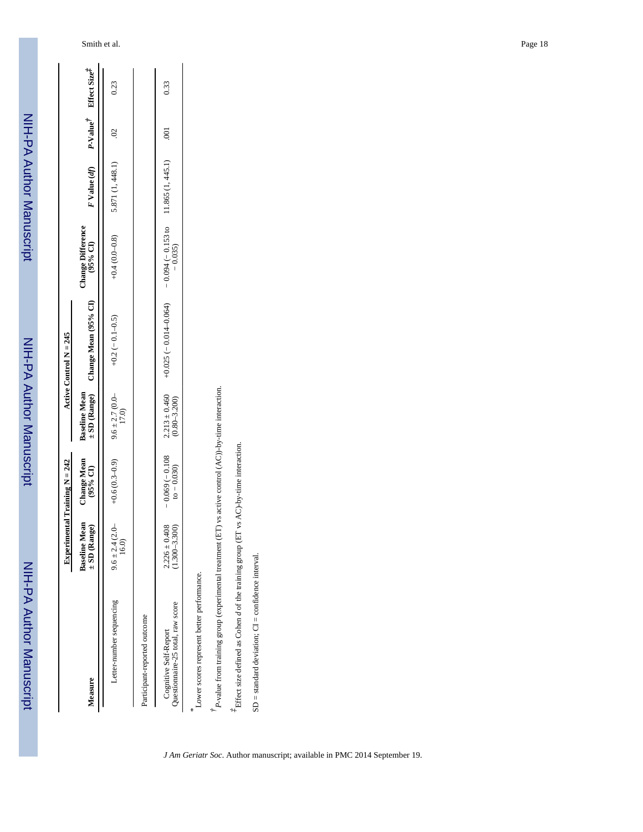|                              |       | Experimental Training $N = 242$                        |                      | Active Control $N = 245$                       |                                       |                                                            |      |
|------------------------------|-------|--------------------------------------------------------|----------------------|------------------------------------------------|---------------------------------------|------------------------------------------------------------|------|
| Measure                      |       | Baseline Mean Change Mean<br>$\pm$ SD (Range) (95% CI) | <b>Baseline Mean</b> | $\pm$ SD (Range) Change Mean (95% CI) (95% CI) | <b>Change Difference</b>              | F Value (df) P-Value <sup>†</sup> Effect Size <sup>#</sup> |      |
| Letter-number sequencing     | 16.0) | 9.6 ± 2.4 (2.0 + 0.6 (0.3 - 0.9) 9.6 ± 2.7 (0.0 -      | 17.0)                | $+0.2(-0.1-0.5)$                               | $+0.4(0.0-0.8)$ 5.871 (1.87.1) $-0.8$ |                                                            | 0.23 |
| Participant-reported outcome |       |                                                        |                      |                                                |                                       |                                                            |      |

 $2.226 \pm 0.408$ <br>(1.300-3.300) Cognitive Self-Report<br>Questionnaire-25 total, raw score Cognitive Self-Report

Questionnaire-25 total, raw score

(1.300–3.300)

− 0.069 (− 0.108  $-0.069(-0.108$ <br>to  $-0.030)$ 

 $2.213 \pm 0.460$ <br>(0.80-3.200) (0.80–3.200)

+0.025 (− 0.025 − 0.025 − 0.025 − 0.025 co

 $+0.025(-0.014-0.064)$ 

 $-0.094 (-0.153 \text{ to } -0.035)$ 

 $11.865 (1, 445.1)$  .001 0.33

 $11.865(1, 445.1)$ 

 $\overline{6}$ 

0.33

Lower scores represent better performance.

Lower scores represent better performance.

*† P*-value from training group (experimental treatment (ET) vs active control (AC))-by-time interaction.

 $^{\sharp}$  Effect size defined as Cohen  $d$  of the training group (ET vs AC)-by-time interaction. *‡*Effect size defined as Cohen *d* of the training group (ET vs AC)-by-time interaction.

 $SD = standard deviation; CI = confidence interval.$ SD = standard deviation; CI = confidence interval.